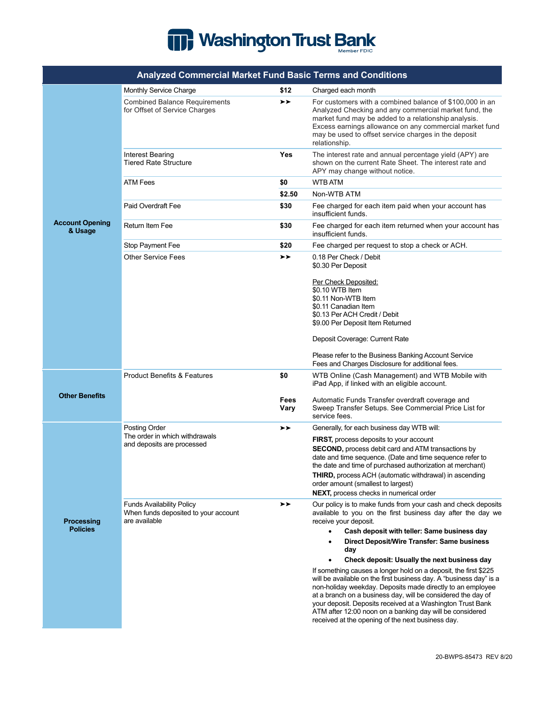## Washington Trust Bank

|                                      | <b>Analyzed Commercial Market Fund Basic Terms and Conditions</b>                         |                     |                                                                                                                                                                                                                                                                                                                                                                                                                                                                                                                                                                                                                                                                                                                                                                               |
|--------------------------------------|-------------------------------------------------------------------------------------------|---------------------|-------------------------------------------------------------------------------------------------------------------------------------------------------------------------------------------------------------------------------------------------------------------------------------------------------------------------------------------------------------------------------------------------------------------------------------------------------------------------------------------------------------------------------------------------------------------------------------------------------------------------------------------------------------------------------------------------------------------------------------------------------------------------------|
|                                      | Monthly Service Charge                                                                    | \$12                | Charged each month                                                                                                                                                                                                                                                                                                                                                                                                                                                                                                                                                                                                                                                                                                                                                            |
| <b>Account Opening</b><br>& Usage    | <b>Combined Balance Requirements</b><br>for Offset of Service Charges                     | ≻≻                  | For customers with a combined balance of \$100,000 in an<br>Analyzed Checking and any commercial market fund, the<br>market fund may be added to a relationship analysis.<br>Excess earnings allowance on any commercial market fund<br>may be used to offset service charges in the deposit<br>relationship.                                                                                                                                                                                                                                                                                                                                                                                                                                                                 |
|                                      | <b>Interest Bearing</b><br><b>Tiered Rate Structure</b>                                   | Yes                 | The interest rate and annual percentage yield (APY) are<br>shown on the current Rate Sheet. The interest rate and<br>APY may change without notice.                                                                                                                                                                                                                                                                                                                                                                                                                                                                                                                                                                                                                           |
|                                      | <b>ATM Fees</b>                                                                           | \$0                 | <b>WTB ATM</b>                                                                                                                                                                                                                                                                                                                                                                                                                                                                                                                                                                                                                                                                                                                                                                |
|                                      |                                                                                           | \$2.50              | Non-WTB ATM                                                                                                                                                                                                                                                                                                                                                                                                                                                                                                                                                                                                                                                                                                                                                                   |
|                                      | Paid Overdraft Fee                                                                        | \$30                | Fee charged for each item paid when your account has<br>insufficient funds.                                                                                                                                                                                                                                                                                                                                                                                                                                                                                                                                                                                                                                                                                                   |
|                                      | Return Item Fee                                                                           | \$30                | Fee charged for each item returned when your account has<br>insufficient funds.                                                                                                                                                                                                                                                                                                                                                                                                                                                                                                                                                                                                                                                                                               |
|                                      | Stop Payment Fee                                                                          | \$20                | Fee charged per request to stop a check or ACH.                                                                                                                                                                                                                                                                                                                                                                                                                                                                                                                                                                                                                                                                                                                               |
|                                      | <b>Other Service Fees</b>                                                                 | ≻≻                  | 0.18 Per Check / Debit<br>\$0.30 Per Deposit                                                                                                                                                                                                                                                                                                                                                                                                                                                                                                                                                                                                                                                                                                                                  |
|                                      |                                                                                           |                     | Per Check Deposited:<br>\$0.10 WTB Item<br>\$0.11 Non-WTB Item<br>\$0.11 Canadian Item<br>\$0.13 Per ACH Credit / Debit<br>\$9.00 Per Deposit Item Returned<br>Deposit Coverage: Current Rate                                                                                                                                                                                                                                                                                                                                                                                                                                                                                                                                                                                 |
|                                      |                                                                                           |                     | Please refer to the Business Banking Account Service<br>Fees and Charges Disclosure for additional fees.                                                                                                                                                                                                                                                                                                                                                                                                                                                                                                                                                                                                                                                                      |
| <b>Other Benefits</b>                | <b>Product Benefits &amp; Features</b>                                                    | \$0                 | WTB Online (Cash Management) and WTB Mobile with<br>iPad App, if linked with an eligible account.                                                                                                                                                                                                                                                                                                                                                                                                                                                                                                                                                                                                                                                                             |
|                                      |                                                                                           | <b>Fees</b><br>Vary | Automatic Funds Transfer overdraft coverage and<br>Sweep Transfer Setups. See Commercial Price List for<br>service fees.                                                                                                                                                                                                                                                                                                                                                                                                                                                                                                                                                                                                                                                      |
| <b>Processing</b><br><b>Policies</b> | Posting Order<br>The order in which withdrawals<br>and deposits are processed             | ➤                   | Generally, for each business day WTB will:                                                                                                                                                                                                                                                                                                                                                                                                                                                                                                                                                                                                                                                                                                                                    |
|                                      |                                                                                           |                     | FIRST, process deposits to your account<br><b>SECOND, process debit card and ATM transactions by</b><br>date and time sequence. (Date and time sequence refer to<br>the date and time of purchased authorization at merchant)<br>THIRD, process ACH (automatic withdrawal) in ascending<br>order amount (smallest to largest)<br>NEXT, process checks in numerical order                                                                                                                                                                                                                                                                                                                                                                                                      |
|                                      | <b>Funds Availability Policy</b><br>When funds deposited to your account<br>are available | ≻≻                  | Our policy is to make funds from your cash and check deposits<br>available to you on the first business day after the day we<br>receive your deposit.<br>Cash deposit with teller: Same business day<br>Direct Deposit/Wire Transfer: Same business<br>day<br>Check deposit: Usually the next business day<br>$\bullet$<br>If something causes a longer hold on a deposit, the first \$225<br>will be available on the first business day. A "business day" is a<br>non-holiday weekday. Deposits made directly to an employee<br>at a branch on a business day, will be considered the day of<br>your deposit. Deposits received at a Washington Trust Bank<br>ATM after 12:00 noon on a banking day will be considered<br>received at the opening of the next business day. |